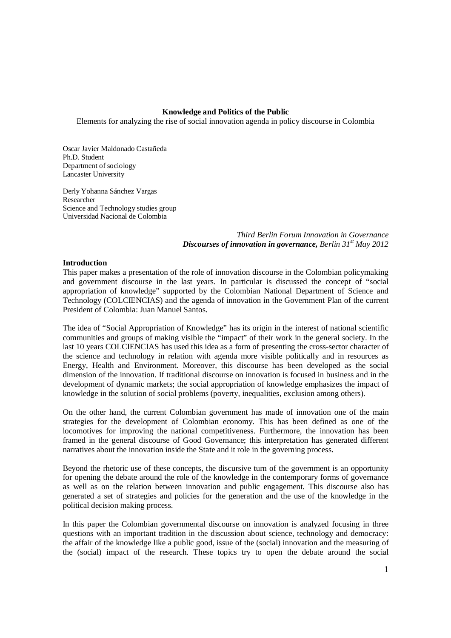## **Knowledge and Politics of the Public**

Elements for analyzing the rise of social innovation agenda in policy discourse in Colombia

Oscar Javier Maldonado Castañeda Ph.D. Student Department of sociology Lancaster University

Derly Yohanna Sánchez Vargas Researcher Science and Technology studies group Universidad Nacional de Colombia

> *Third Berlin Forum Innovation in Governance Discourses of innovation in governance, Berlin 31st May 2012*

## **Introduction**

This paper makes a presentation of the role of innovation discourse in the Colombian policymaking and government discourse in the last years. In particular is discussed the concept of "social appropriation of knowledge" supported by the Colombian National Department of Science and Technology (COLCIENCIAS) and the agenda of innovation in the Government Plan of the current President of Colombia: Juan Manuel Santos.

The idea of "Social Appropriation of Knowledge" has its origin in the interest of national scientific communities and groups of making visible the "impact" of their work in the general society. In the last 10 years COLCIENCIAS has used this idea as a form of presenting the cross-sector character of the science and technology in relation with agenda more visible politically and in resources as Energy, Health and Environment. Moreover, this discourse has been developed as the social dimension of the innovation. If traditional discourse on innovation is focused in business and in the development of dynamic markets; the social appropriation of knowledge emphasizes the impact of knowledge in the solution of social problems (poverty, inequalities, exclusion among others).

On the other hand, the current Colombian government has made of innovation one of the main strategies for the development of Colombian economy. This has been defined as one of the locomotives for improving the national competitiveness. Furthermore, the innovation has been framed in the general discourse of Good Governance; this interpretation has generated different narratives about the innovation inside the State and it role in the governing process.

Beyond the rhetoric use of these concepts, the discursive turn of the government is an opportunity for opening the debate around the role of the knowledge in the contemporary forms of governance as well as on the relation between innovation and public engagement. This discourse also has generated a set of strategies and policies for the generation and the use of the knowledge in the political decision making process.

In this paper the Colombian governmental discourse on innovation is analyzed focusing in three questions with an important tradition in the discussion about science, technology and democracy: the affair of the knowledge like a public good, issue of the (social) innovation and the measuring of the (social) impact of the research. These topics try to open the debate around the social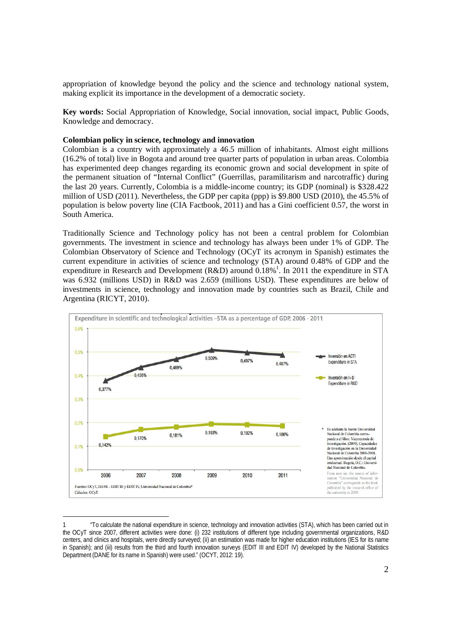appropriation of knowledge beyond the policy and the science and technology national system, making explicit its importance in the development of a democratic society.

**Key words:** Social Appropriation of Knowledge, Social innovation, social impact, Public Goods, Knowledge and democracy.

#### **Colombian policy in science, technology and innovation**

Colombian is a country with approximately a 46.5 million of inhabitants. Almost eight millions (16.2% of total) live in Bogota and around tree quarter parts of population in urban areas. Colombia has experimented deep changes regarding its economic grown and social development in spite of the permanent situation of "Internal Conflict" (Guerrillas, paramilitarism and narcotraffic) during the last 20 years. Currently, Colombia is a middle-income country; its GDP (nominal) is \$328.422 million of USD (2011). Nevertheless, the GDP per capita (ppp) is \$9.800 USD (2010), the 45.5% of population is below poverty line (CIA Factbook, 2011) and has a Gini coefficient 0.57, the worst in South America.

Traditionally Science and Technology policy has not been a central problem for Colombian governments. The investment in science and technology has always been under 1% of GDP. The Colombian Observatory of Science and Technology (OCyT its acronym in Spanish) estimates the current expenditure in activities of science and technology (STA) around 0.48% of GDP and the expenditure in Research and Development (R&D) around  $0.18\%$ <sup>1</sup>. In 2011 the expenditure in STA was 6.932 (millions USD) in R&D was 2.659 (millions USD). These expenditures are below of investments in science, technology and innovation made by countries such as Brazil, Chile and Argentina (RICYT, 2010).



<sup>1</sup> "To calculate the national expenditure in science, technology and innovation activities (STA), which has been carried out in the OCyT since 2007, different activities were done: (i) 232 institutions of different type including governmental organizations, R&D centers, and clinics and hospitals, were directly surveyed; (ii) an estimation was made for higher education institutions (IES for its name in Spanish); and (iii) results from the third and fourth innovation surveys (EDIT III and EDIT IV) developed by the National Statistics Department (DANE for its name in Spanish) were used." (OCYT, 2012: 19).

-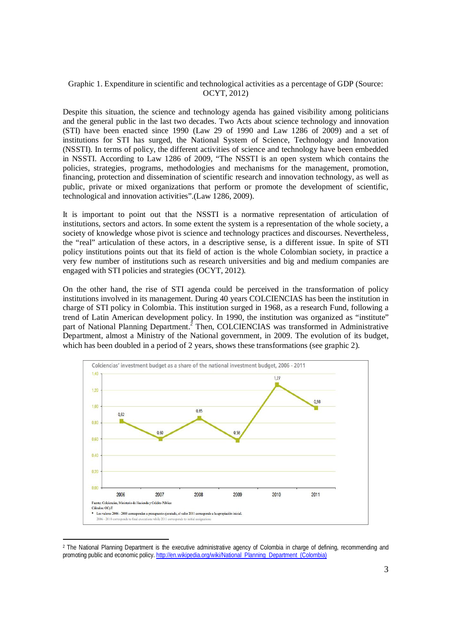## Graphic 1. Expenditure in scientific and technological activities as a percentage of GDP (Source: OCYT, 2012)

Despite this situation, the science and technology agenda has gained visibility among politicians and the general public in the last two decades. Two Acts about science technology and innovation (STI) have been enacted since 1990 (Law 29 of 1990 and Law 1286 of 2009) and a set of institutions for STI has surged, the National System of Science, Technology and Innovation (NSSTI). In terms of policy, the different activities of science and technology have been embedded in NSSTI. According to Law 1286 of 2009, "The NSSTI is an open system which contains the policies, strategies, programs, methodologies and mechanisms for the management, promotion, financing, protection and dissemination of scientific research and innovation technology, as well as public, private or mixed organizations that perform or promote the development of scientific, technological and innovation activities".(Law 1286, 2009).

It is important to point out that the NSSTI is a normative representation of articulation of institutions, sectors and actors. In some extent the system is a representation of the whole society, a society of knowledge whose pivot is science and technology practices and discourses. Nevertheless, the "real" articulation of these actors, in a descriptive sense, is a different issue. In spite of STI policy institutions points out that its field of action is the whole Colombian society, in practice a very few number of institutions such as research universities and big and medium companies are engaged with STI policies and strategies (OCYT, 2012).

On the other hand, the rise of STI agenda could be perceived in the transformation of policy institutions involved in its management. During 40 years COLCIENCIAS has been the institution in charge of STI policy in Colombia. This institution surged in 1968, as a research Fund, following a trend of Latin American development policy. In 1990, the institution was organized as "institute" part of National Planning Department.<sup>2</sup> Then, COLCIENCIAS was transformed in Administrative Department, almost a Ministry of the National government, in 2009. The evolution of its budget, which has been doubled in a period of 2 years, shows these transformations (see graphic 2).



<sup>2</sup> The National Planning Department is the executive administrative agency of Colombia in charge of defining, recommending and promoting public and economic policy. http://en.wikipedia.org/wiki/National\_Planning\_Department\_(Colombia)

-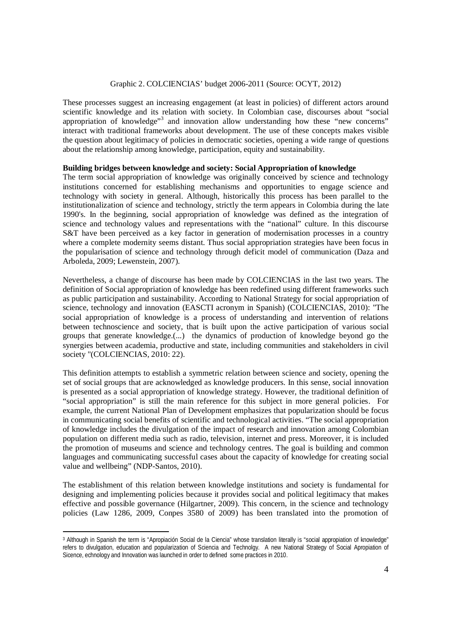## Graphic 2. COLCIENCIAS' budget 2006-2011 (Source: OCYT, 2012)

These processes suggest an increasing engagement (at least in policies) of different actors around scientific knowledge and its relation with society. In Colombian case, discourses about "social appropriation of knowledge"<sup>3</sup> and innovation allow understanding how these "new concerns" interact with traditional frameworks about development. The use of these concepts makes visible the question about legitimacy of policies in democratic societies, opening a wide range of questions about the relationship among knowledge, participation, equity and sustainability.

### **Building bridges between knowledge and society: Social Appropriation of knowledge**

The term social appropriation of knowledge was originally conceived by science and technology institutions concerned for establishing mechanisms and opportunities to engage science and technology with society in general. Although, historically this process has been parallel to the institutionalization of science and technology, strictly the term appears in Colombia during the late 1990's. In the beginning, social appropriation of knowledge was defined as the integration of science and technology values and representations with the "national" culture. In this discourse S&T have been perceived as a key factor in generation of modernisation processes in a country where a complete modernity seems distant. Thus social appropriation strategies have been focus in the popularisation of science and technology through deficit model of communication (Daza and Arboleda, 2009; Lewenstein, 2007).

Nevertheless, a change of discourse has been made by COLCIENCIAS in the last two years. The definition of Social appropriation of knowledge has been redefined using different frameworks such as public participation and sustainability. According to National Strategy for social appropriation of science, technology and innovation (EASCTI acronym in Spanish) (COLCIENCIAS, 2010): "The social appropriation of knowledge is a process of understanding and intervention of relations between technoscience and society, that is built upon the active participation of various social groups that generate knowledge.(...) the dynamics of production of knowledge beyond go the synergies between academia, productive and state, including communities and stakeholders in civil society "(COLCIENCIAS, 2010: 22).

This definition attempts to establish a symmetric relation between science and society, opening the set of social groups that are acknowledged as knowledge producers. In this sense, social innovation is presented as a social appropriation of knowledge strategy. However, the traditional definition of "social appropriation" is still the main reference for this subject in more general policies. For example, the current National Plan of Development emphasizes that popularization should be focus in communicating social benefits of scientific and technological activities. "The social appropriation of knowledge includes the divulgation of the impact of research and innovation among Colombian population on different media such as radio, television, internet and press. Moreover, it is included the promotion of museums and science and technology centres. The goal is building and common languages and communicating successful cases about the capacity of knowledge for creating social value and wellbeing" (NDP-Santos, 2010).

The establishment of this relation between knowledge institutions and society is fundamental for designing and implementing policies because it provides social and political legitimacy that makes effective and possible governance (Hilgartner, 2009). This concern, in the science and technology policies (Law 1286, 2009, Conpes 3580 of 2009) has been translated into the promotion of

<sup>-</sup><sup>3</sup> Although in Spanish the term is "Apropiación Social de la Ciencia" whose translation literally is "social appropiation of knowledge" refers to divulgation, education and popularization of Sciencia and Technolgy. A new National Strategy of Social Apropiation of Sicence, echnology and Innovation was launched in order to defined some practices in 2010.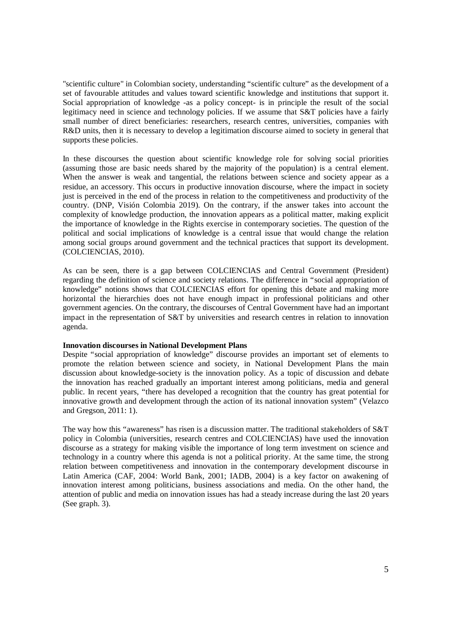"scientific culture" in Colombian society, understanding "scientific culture" as the development of a set of favourable attitudes and values toward scientific knowledge and institutions that support it. Social appropriation of knowledge -as a policy concept- is in principle the result of the social legitimacy need in science and technology policies. If we assume that S&T policies have a fairly small number of direct beneficiaries: researchers, research centres, universities, companies with R&D units, then it is necessary to develop a legitimation discourse aimed to society in general that supports these policies.

In these discourses the question about scientific knowledge role for solving social priorities (assuming those are basic needs shared by the majority of the population) is a central element. When the answer is weak and tangential, the relations between science and society appear as a residue, an accessory. This occurs in productive innovation discourse, where the impact in society just is perceived in the end of the process in relation to the competitiveness and productivity of the country. (DNP, Visión Colombia 2019). On the contrary, if the answer takes into account the complexity of knowledge production, the innovation appears as a political matter, making explicit the importance of knowledge in the Rights exercise in contemporary societies. The question of the political and social implications of knowledge is a central issue that would change the relation among social groups around government and the technical practices that support its development. (COLCIENCIAS, 2010).

As can be seen, there is a gap between COLCIENCIAS and Central Government (President) regarding the definition of science and society relations. The difference in "social appropriation of knowledge" notions shows that COLCIENCIAS effort for opening this debate and making more horizontal the hierarchies does not have enough impact in professional politicians and other government agencies. On the contrary, the discourses of Central Government have had an important impact in the representation of S&T by universities and research centres in relation to innovation agenda.

### **Innovation discourses in National Development Plans**

Despite "social appropriation of knowledge" discourse provides an important set of elements to promote the relation between science and society, in National Development Plans the main discussion about knowledge-society is the innovation policy. As a topic of discussion and debate the innovation has reached gradually an important interest among politicians, media and general public. In recent years, "there has developed a recognition that the country has great potential for innovative growth and development through the action of its national innovation system" (Velazco and Gregson, 2011: 1).

The way how this "awareness" has risen is a discussion matter. The traditional stakeholders of S&T policy in Colombia (universities, research centres and COLCIENCIAS) have used the innovation discourse as a strategy for making visible the importance of long term investment on science and technology in a country where this agenda is not a political priority. At the same time, the strong relation between competitiveness and innovation in the contemporary development discourse in Latin America (CAF, 2004: World Bank, 2001; IADB, 2004) is a key factor on awakening of innovation interest among politicians, business associations and media. On the other hand, the attention of public and media on innovation issues has had a steady increase during the last 20 years (See graph. 3).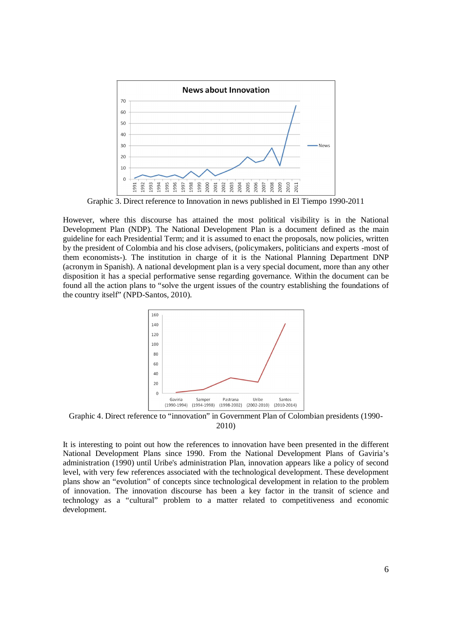

Graphic 3. Direct reference to Innovation in news published in El Tiempo 1990-2011

However, where this discourse has attained the most political visibility is in the National Development Plan (NDP). The National Development Plan is a document defined as the main guideline for each Presidential Term; and it is assumed to enact the proposals, now policies, written by the president of Colombia and his close advisers, (policymakers, politicians and experts -most of them economists-). The institution in charge of it is the National Planning Department DNP (acronym in Spanish). A national development plan is a very special document, more than any other disposition it has a special performative sense regarding governance. Within the document can be found all the action plans to "solve the urgent issues of the country establishing the foundations of the country itself" (NPD-Santos, 2010).



Graphic 4. Direct reference to "innovation" in Government Plan of Colombian presidents (1990- 2010)

It is interesting to point out how the references to innovation have been presented in the different National Development Plans since 1990. From the National Development Plans of Gaviria's administration (1990) until Uribe's administration Plan, innovation appears like a policy of second level, with very few references associated with the technological development. These development plans show an "evolution" of concepts since technological development in relation to the problem of innovation. The innovation discourse has been a key factor in the transit of science and technology as a "cultural" problem to a matter related to competitiveness and economic development.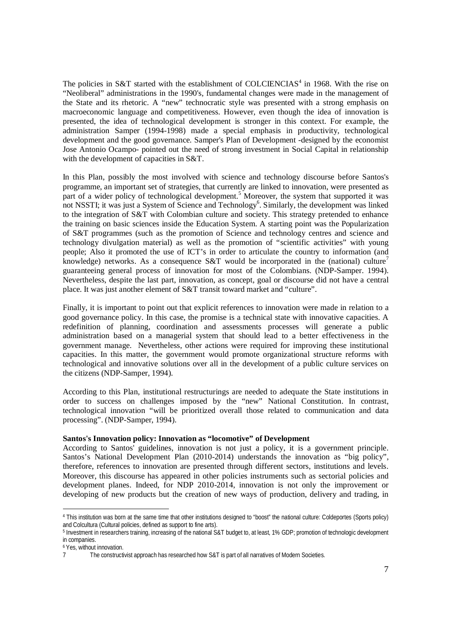The policies in S&T started with the establishment of COLCIENCIAS<sup>4</sup> in 1968. With the rise on "Neoliberal" administrations in the 1990's, fundamental changes were made in the management of the State and its rhetoric. A "new" technocratic style was presented with a strong emphasis on macroeconomic language and competitiveness. However, even though the idea of innovation is presented, the idea of technological development is stronger in this context. For example, the administration Samper (1994-1998) made a special emphasis in productivity, technological development and the good governance. Samper's Plan of Development -designed by the economist Jose Antonio Ocampo- pointed out the need of strong investment in Social Capital in relationship with the development of capacities in S&T.

In this Plan, possibly the most involved with science and technology discourse before Santos's programme, an important set of strategies, that currently are linked to innovation, were presented as part of a wider policy of technological development.<sup>5</sup> Moreover, the system that supported it was not NSSTI; it was just a System of Science and Technology<sup>6</sup>. Similarly, the development was linked to the integration of S&T with Colombian culture and society. This strategy pretended to enhance the training on basic sciences inside the Education System. A starting point was the Popularization of S&T programmes (such as the promotion of Science and technology centres and science and technology divulgation material) as well as the promotion of "scientific activities" with young people; Also it promoted the use of ICT's in order to articulate the country to information (and knowledge) networks. As a consequence S&T would be incorporated in the (national) culture<sup>7</sup> guaranteeing general process of innovation for most of the Colombians. (NDP-Samper. 1994). Nevertheless, despite the last part, innovation, as concept, goal or discourse did not have a central place. It was just another element of S&T transit toward market and "culture".

Finally, it is important to point out that explicit references to innovation were made in relation to a good governance policy. In this case, the promise is a technical state with innovative capacities. A redefinition of planning, coordination and assessments processes will generate a public administration based on a managerial system that should lead to a better effectiveness in the government manage. Nevertheless, other actions were required for improving these institutional capacities. In this matter, the government would promote organizational structure reforms with technological and innovative solutions over all in the development of a public culture services on the citizens (NDP-Samper, 1994).

According to this Plan, institutional restructurings are needed to adequate the State institutions in order to success on challenges imposed by the "new" National Constitution. In contrast, technological innovation "will be prioritized overall those related to communication and data processing". (NDP-Samper, 1994).

# **Santos's Innovation policy: Innovation as "locomotive" of Development**

According to Santos' guidelines, innovation is not just a policy, it is a government principle. Santos's National Development Plan (2010-2014) understands the innovation as "big policy", therefore, references to innovation are presented through different sectors, institutions and levels. Moreover, this discourse has appeared in other policies instruments such as sectorial policies and development planes. Indeed, for NDP 2010-2014, innovation is not only the improvement or developing of new products but the creation of new ways of production, delivery and trading, in

-

<sup>4</sup> This institution was born at the same time that other institutions designed to "boost" the national culture: Coldeportes (Sports policy) and Colcultura (Cultural policies, defined as support to fine arts).

<sup>5</sup> Investment in researchers training, increasing of the national S&T budget to, at least, 1% GDP; promotion of technologic development in companies.

 $6$  Yes, without innovation.

The constructivist approach has researched how S&T is part of all narratives of Modern Societies.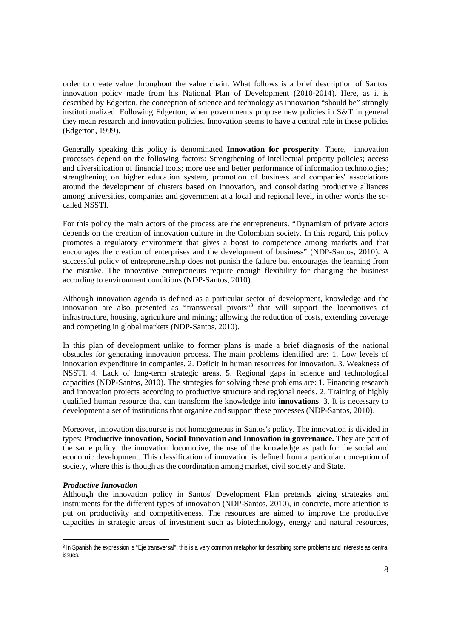order to create value throughout the value chain. What follows is a brief description of Santos' innovation policy made from his National Plan of Development (2010-2014). Here, as it is described by Edgerton, the conception of science and technology as innovation "should be" strongly institutionalized. Following Edgerton, when governments propose new policies in S&T in general they mean research and innovation policies. Innovation seems to have a central role in these policies (Edgerton, 1999).

Generally speaking this policy is denominated **Innovation for prosperity**. There, innovation processes depend on the following factors: Strengthening of intellectual property policies; access and diversification of financial tools; more use and better performance of information technologies; strengthening on higher education system, promotion of business and companies' associations around the development of clusters based on innovation, and consolidating productive alliances among universities, companies and government at a local and regional level, in other words the socalled NSSTI.

For this policy the main actors of the process are the entrepreneurs. "Dynamism of private actors depends on the creation of innovation culture in the Colombian society. In this regard, this policy promotes a regulatory environment that gives a boost to competence among markets and that encourages the creation of enterprises and the development of business" (NDP-Santos, 2010). A successful policy of entrepreneurship does not punish the failure but encourages the learning from the mistake. The innovative entrepreneurs require enough flexibility for changing the business according to environment conditions (NDP-Santos, 2010).

Although innovation agenda is defined as a particular sector of development, knowledge and the innovation are also presented as "transversal pivots" that will support the locomotives of infrastructure, housing, agriculture and mining; allowing the reduction of costs, extending coverage and competing in global markets (NDP-Santos, 2010).

In this plan of development unlike to former plans is made a brief diagnosis of the national obstacles for generating innovation process. The main problems identified are: 1. Low levels of innovation expenditure in companies. 2. Deficit in human resources for innovation. 3. Weakness of NSSTI. 4. Lack of long-term strategic areas. 5. Regional gaps in science and technological capacities (NDP-Santos, 2010). The strategies for solving these problems are: 1. Financing research and innovation projects according to productive structure and regional needs. 2. Training of highly qualified human resource that can transform the knowledge into **innovations**. 3. It is necessary to development a set of institutions that organize and support these processes (NDP-Santos, 2010).

Moreover, innovation discourse is not homogeneous in Santos's policy. The innovation is divided in types: **Productive innovation, Social Innovation and Innovation in governance.** They are part of the same policy: the innovation locomotive, the use of the knowledge as path for the social and economic development. This classification of innovation is defined from a particular conception of society, where this is though as the coordination among market, civil society and State.

### *Productive Innovation*

-

Although the innovation policy in Santos' Development Plan pretends giving strategies and instruments for the different types of innovation (NDP-Santos, 2010), in concrete, more attention is put on productivity and competitiveness. The resources are aimed to improve the productive capacities in strategic areas of investment such as biotechnology, energy and natural resources,

<sup>&</sup>lt;sup>8</sup> In Spanish the expression is "Eje transversal", this is a very common metaphor for describing some problems and interests as central issues.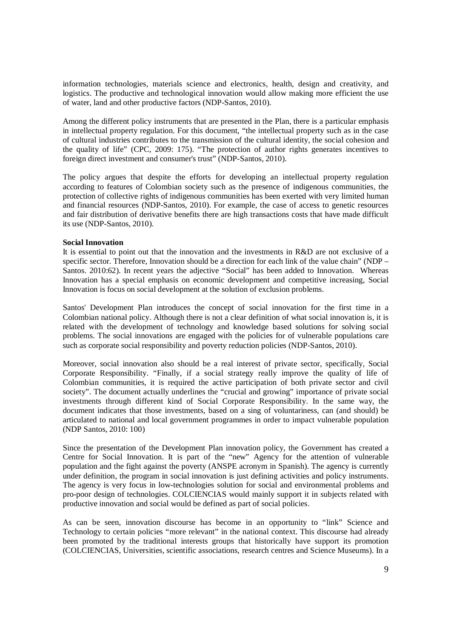information technologies, materials science and electronics, health, design and creativity, and logistics. The productive and technological innovation would allow making more efficient the use of water, land and other productive factors (NDP-Santos, 2010).

Among the different policy instruments that are presented in the Plan, there is a particular emphasis in intellectual property regulation. For this document, "the intellectual property such as in the case of cultural industries contributes to the transmission of the cultural identity, the social cohesion and the quality of life" (CPC, 2009: 175). "The protection of author rights generates incentives to foreign direct investment and consumer's trust" (NDP-Santos, 2010).

The policy argues that despite the efforts for developing an intellectual property regulation according to features of Colombian society such as the presence of indigenous communities, the protection of collective rights of indigenous communities has been exerted with very limited human and financial resources (NDP-Santos, 2010). For example, the case of access to genetic resources and fair distribution of derivative benefits there are high transactions costs that have made difficult its use (NDP-Santos, 2010).

### **Social Innovation**

It is essential to point out that the innovation and the investments in R&D are not exclusive of a specific sector. Therefore, Innovation should be a direction for each link of the value chain" (NDP – Santos. 2010:62). In recent years the adjective "Social" has been added to Innovation. Whereas Innovation has a special emphasis on economic development and competitive increasing, Social Innovation is focus on social development at the solution of exclusion problems.

Santos' Development Plan introduces the concept of social innovation for the first time in a Colombian national policy. Although there is not a clear definition of what social innovation is, it is related with the development of technology and knowledge based solutions for solving social problems. The social innovations are engaged with the policies for of vulnerable populations care such as corporate social responsibility and poverty reduction policies (NDP-Santos, 2010).

Moreover, social innovation also should be a real interest of private sector, specifically, Social Corporate Responsibility. "Finally, if a social strategy really improve the quality of life of Colombian communities, it is required the active participation of both private sector and civil society". The document actually underlines the "crucial and growing" importance of private social investments through different kind of Social Corporate Responsibility. In the same way, the document indicates that those investments, based on a sing of voluntariness, can (and should) be articulated to national and local government programmes in order to impact vulnerable population (NDP Santos, 2010: 100)

Since the presentation of the Development Plan innovation policy, the Government has created a Centre for Social Innovation. It is part of the "new" Agency for the attention of vulnerable population and the fight against the poverty (ANSPE acronym in Spanish). The agency is currently under definition, the program in social innovation is just defining activities and policy instruments. The agency is very focus in low-technologies solution for social and environmental problems and pro-poor design of technologies. COLCIENCIAS would mainly support it in subjects related with productive innovation and social would be defined as part of social policies.

As can be seen, innovation discourse has become in an opportunity to "link" Science and Technology to certain policies "more relevant" in the national context. This discourse had already been promoted by the traditional interests groups that historically have support its promotion (COLCIENCIAS, Universities, scientific associations, research centres and Science Museums). In a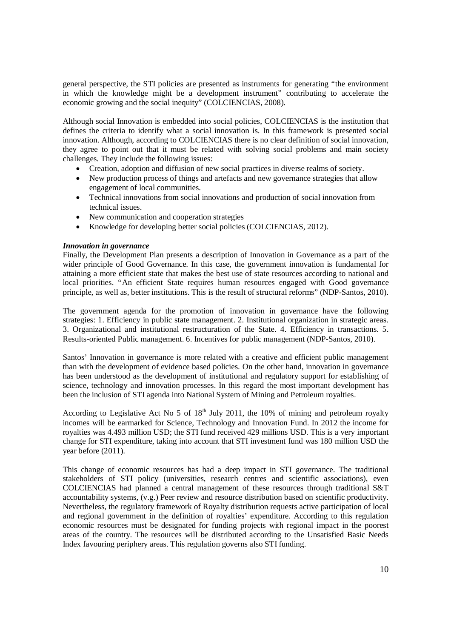general perspective, the STI policies are presented as instruments for generating "the environment in which the knowledge might be a development instrument" contributing to accelerate the economic growing and the social inequity" (COLCIENCIAS, 2008).

Although social Innovation is embedded into social policies, COLCIENCIAS is the institution that defines the criteria to identify what a social innovation is. In this framework is presented social innovation. Although, according to COLCIENCIAS there is no clear definition of social innovation, they agree to point out that it must be related with solving social problems and main society challenges. They include the following issues:

- Creation, adoption and diffusion of new social practices in diverse realms of society.
- New production process of things and artefacts and new governance strategies that allow engagement of local communities.
- Technical innovations from social innovations and production of social innovation from technical issues.
- New communication and cooperation strategies
- Knowledge for developing better social policies (COLCIENCIAS, 2012).

## *Innovation in governance*

Finally, the Development Plan presents a description of Innovation in Governance as a part of the wider principle of Good Governance. In this case, the government innovation is fundamental for attaining a more efficient state that makes the best use of state resources according to national and local priorities. "An efficient State requires human resources engaged with Good governance principle, as well as, better institutions. This is the result of structural reforms" (NDP-Santos, 2010).

The government agenda for the promotion of innovation in governance have the following strategies: 1. Efficiency in public state management. 2. Institutional organization in strategic areas. 3. Organizational and institutional restructuration of the State. 4. Efficiency in transactions. 5. Results-oriented Public management. 6. Incentives for public management (NDP-Santos, 2010).

Santos' Innovation in governance is more related with a creative and efficient public management than with the development of evidence based policies. On the other hand, innovation in governance has been understood as the development of institutional and regulatory support for establishing of science, technology and innovation processes. In this regard the most important development has been the inclusion of STI agenda into National System of Mining and Petroleum royalties.

According to Legislative Act No 5 of  $18<sup>th</sup>$  July 2011, the 10% of mining and petroleum royalty incomes will be earmarked for Science, Technology and Innovation Fund. In 2012 the income for royalties was 4.493 million USD; the STI fund received 429 millions USD. This is a very important change for STI expenditure, taking into account that STI investment fund was 180 million USD the year before (2011).

This change of economic resources has had a deep impact in STI governance. The traditional stakeholders of STI policy (universities, research centres and scientific associations), even COLCIENCIAS had planned a central management of these resources through traditional S&T accountability systems, (v.g.) Peer review and resource distribution based on scientific productivity. Nevertheless, the regulatory framework of Royalty distribution requests active participation of local and regional government in the definition of royalties' expenditure. According to this regulation economic resources must be designated for funding projects with regional impact in the poorest areas of the country. The resources will be distributed according to the Unsatisfied Basic Needs Index favouring periphery areas. This regulation governs also STI funding.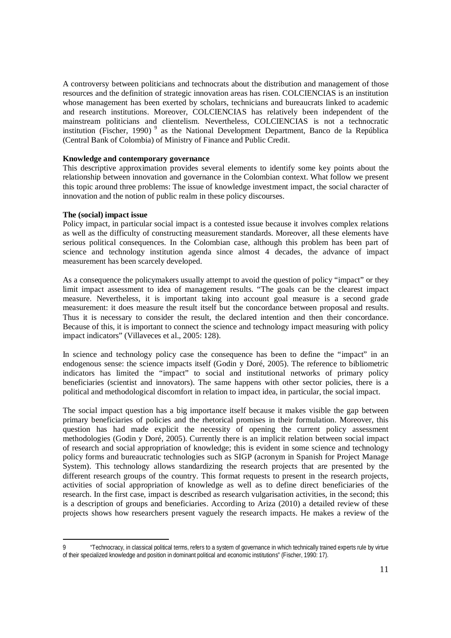A controversy between politicians and technocrats about the distribution and management of those resources and the definition of strategic innovation areas has risen. COLCIENCIAS is an institution whose management has been exerted by scholars, technicians and bureaucrats linked to academic and research institutions. Moreover, COLCIENCIAS has relatively been independent of the mainstream politicians and clientelism. Nevertheless, COLCIENCIAS is not a technocratic institution (Fischer, 1990)<sup>9</sup> as the National Development Department, Banco de la República (Central Bank of Colombia) of Ministry of Finance and Public Credit.

#### **Knowledge and contemporary governance**

This descriptive approximation provides several elements to identify some key points about the relationship between innovation and governance in the Colombian context. What follow we present this topic around three problems: The issue of knowledge investment impact, the social character of innovation and the notion of public realm in these policy discourses.

#### **The (social) impact issue**

-

Policy impact, in particular social impact is a contested issue because it involves complex relations as well as the difficulty of constructing measurement standards. Moreover, all these elements have serious political consequences. In the Colombian case, although this problem has been part of science and technology institution agenda since almost 4 decades, the advance of impact measurement has been scarcely developed.

As a consequence the policymakers usually attempt to avoid the question of policy "impact" or they limit impact assessment to idea of management results. "The goals can be the clearest impact measure. Nevertheless, it is important taking into account goal measure is a second grade measurement: it does measure the result itself but the concordance between proposal and results. Thus it is necessary to consider the result, the declared intention and then their concordance. Because of this, it is important to connect the science and technology impact measuring with policy impact indicators" (Villaveces et al., 2005: 128).

In science and technology policy case the consequence has been to define the "impact" in an endogenous sense: the science impacts itself (Godin y Doré, 2005). The reference to bibliometric indicators has limited the "impact" to social and institutional networks of primary policy beneficiaries (scientist and innovators). The same happens with other sector policies, there is a political and methodological discomfort in relation to impact idea, in particular, the social impact.

The social impact question has a big importance itself because it makes visible the gap between primary beneficiaries of policies and the rhetorical promises in their formulation. Moreover, this question has had made explicit the necessity of opening the current policy assessment methodologies (Godin y Doré, 2005). Currently there is an implicit relation between social impact of research and social appropriation of knowledge; this is evident in some science and technology policy forms and bureaucratic technologies such as SIGP (acronym in Spanish for Project Manage System). This technology allows standardizing the research projects that are presented by the different research groups of the country. This format requests to present in the research projects, activities of social appropriation of knowledge as well as to define direct beneficiaries of the research. In the first case, impact is described as research vulgarisation activities, in the second; this is a description of groups and beneficiaries. According to Ariza (2010) a detailed review of these projects shows how researchers present vaguely the research impacts. He makes a review of the

<sup>9</sup> "Technocracy, in classical political terms, refers to a system of governance in which technically trained experts rule by virtue of their specialized knowledge and position in dominant political and economic institutions" (Fischer, 1990: 17).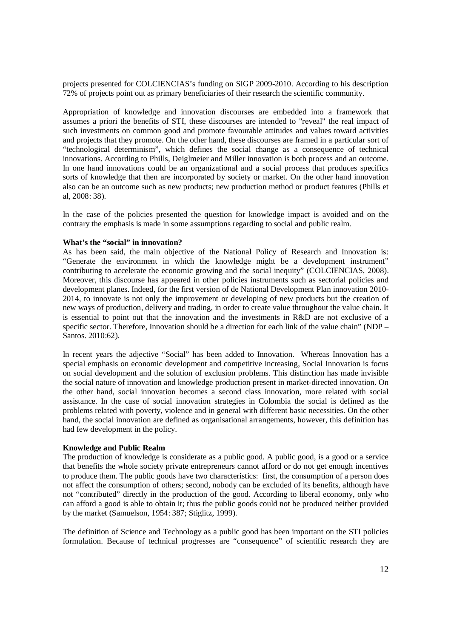projects presented for COLCIENCIAS's funding on SIGP 2009-2010. According to his description 72% of projects point out as primary beneficiaries of their research the scientific community.

Appropriation of knowledge and innovation discourses are embedded into a framework that assumes a priori the benefits of STI, these discourses are intended to "reveal" the real impact of such investments on common good and promote favourable attitudes and values toward activities and projects that they promote. On the other hand, these discourses are framed in a particular sort of "technological determinism", which defines the social change as a consequence of technical innovations. According to Phills, Deiglmeier and Miller innovation is both process and an outcome. In one hand innovations could be an organizational and a social process that produces specifics sorts of knowledge that then are incorporated by society or market. On the other hand innovation also can be an outcome such as new products; new production method or product features (Phills et al, 2008: 38).

In the case of the policies presented the question for knowledge impact is avoided and on the contrary the emphasis is made in some assumptions regarding to social and public realm.

#### **What's the "social" in innovation?**

As has been said, the main objective of the National Policy of Research and Innovation is: "Generate the environment in which the knowledge might be a development instrument" contributing to accelerate the economic growing and the social inequity" (COLCIENCIAS, 2008). Moreover, this discourse has appeared in other policies instruments such as sectorial policies and development planes. Indeed, for the first version of de National Development Plan innovation 2010- 2014, to innovate is not only the improvement or developing of new products but the creation of new ways of production, delivery and trading, in order to create value throughout the value chain. It is essential to point out that the innovation and the investments in R&D are not exclusive of a specific sector. Therefore, Innovation should be a direction for each link of the value chain" (NDP – Santos. 2010:62).

In recent years the adjective "Social" has been added to Innovation. Whereas Innovation has a special emphasis on economic development and competitive increasing, Social Innovation is focus on social development and the solution of exclusion problems. This distinction has made invisible the social nature of innovation and knowledge production present in market-directed innovation. On the other hand, social innovation becomes a second class innovation, more related with social assistance. In the case of social innovation strategies in Colombia the social is defined as the problems related with poverty, violence and in general with different basic necessities. On the other hand, the social innovation are defined as organisational arrangements, however, this definition has had few development in the policy.

#### **Knowledge and Public Realm**

The production of knowledge is considerate as a public good. A public good, is a good or a service that benefits the whole society private entrepreneurs cannot afford or do not get enough incentives to produce them. The public goods have two characteristics: first, the consumption of a person does not affect the consumption of others; second, nobody can be excluded of its benefits, although have not "contributed" directly in the production of the good. According to liberal economy, only who can afford a good is able to obtain it; thus the public goods could not be produced neither provided by the market (Samuelson, 1954: 387; Stiglitz, 1999)*.*

The definition of Science and Technology as a public good has been important on the STI policies formulation. Because of technical progresses are "consequence" of scientific research they are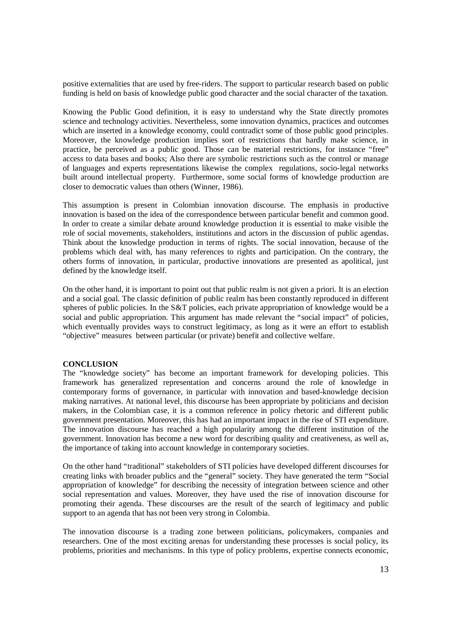positive externalities that are used by free-riders. The support to particular research based on public funding is held on basis of knowledge public good character and the social character of the taxation.

Knowing the Public Good definition, it is easy to understand why the State directly promotes science and technology activities. Nevertheless, some innovation dynamics, practices and outcomes which are inserted in a knowledge economy, could contradict some of those public good principles. Moreover, the knowledge production implies sort of restrictions that hardly make science, in practice, be perceived as a public good. Those can be material restrictions, for instance "free" access to data bases and books; Also there are symbolic restrictions such as the control or manage of languages and experts representations likewise the complex regulations, socio-legal networks built around intellectual property. Furthermore, some social forms of knowledge production are closer to democratic values than others (Winner, 1986).

This assumption is present in Colombian innovation discourse. The emphasis in productive innovation is based on the idea of the correspondence between particular benefit and common good. In order to create a similar debate around knowledge production it is essential to make visible the role of social movements, stakeholders, institutions and actors in the discussion of public agendas. Think about the knowledge production in terms of rights. The social innovation, because of the problems which deal with, has many references to rights and participation. On the contrary, the others forms of innovation, in particular, productive innovations are presented as apolitical, just defined by the knowledge itself.

On the other hand, it is important to point out that public realm is not given a priori. It is an election and a social goal. The classic definition of public realm has been constantly reproduced in different spheres of public policies. In the S&T policies, each private appropriation of knowledge would be a social and public appropriation. This argument has made relevant the "social impact" of policies, which eventually provides ways to construct legitimacy, as long as it were an effort to establish "objective" measures between particular (or private) benefit and collective welfare.

### **CONCLUSION**

The "knowledge society" has become an important framework for developing policies. This framework has generalized representation and concerns around the role of knowledge in contemporary forms of governance, in particular with innovation and based-knowledge decision making narratives. At national level, this discourse has been appropriate by politicians and decision makers, in the Colombian case, it is a common reference in policy rhetoric and different public government presentation. Moreover, this has had an important impact in the rise of STI expenditure. The innovation discourse has reached a high popularity among the different institution of the government. Innovation has become a new word for describing quality and creativeness, as well as, the importance of taking into account knowledge in contemporary societies.

On the other hand "traditional" stakeholders of STI policies have developed different discourses for creating links with broader publics and the "general" society. They have generated the term "Social appropriation of knowledge" for describing the necessity of integration between science and other social representation and values. Moreover, they have used the rise of innovation discourse for promoting their agenda. These discourses are the result of the search of legitimacy and public support to an agenda that has not been very strong in Colombia.

The innovation discourse is a trading zone between politicians, policymakers, companies and researchers. One of the most exciting arenas for understanding these processes is social policy, its problems, priorities and mechanisms. In this type of policy problems, expertise connects economic,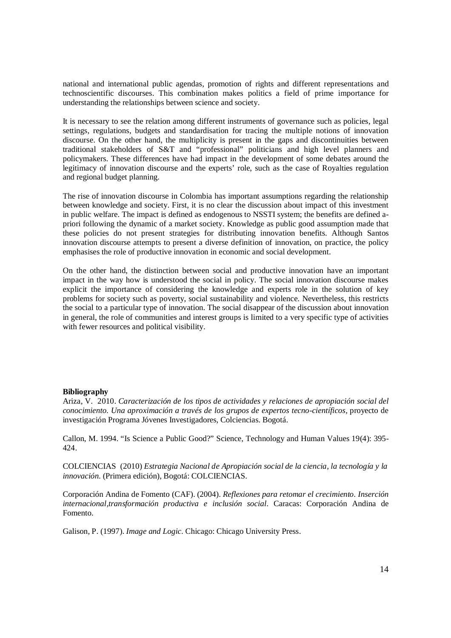national and international public agendas, promotion of rights and different representations and technoscientific discourses. This combination makes politics a field of prime importance for understanding the relationships between science and society.

It is necessary to see the relation among different instruments of governance such as policies, legal settings, regulations, budgets and standardisation for tracing the multiple notions of innovation discourse. On the other hand, the multiplicity is present in the gaps and discontinuities between traditional stakeholders of S&T and "professional" politicians and high level planners and policymakers. These differences have had impact in the development of some debates around the legitimacy of innovation discourse and the experts' role, such as the case of Royalties regulation and regional budget planning.

The rise of innovation discourse in Colombia has important assumptions regarding the relationship between knowledge and society. First, it is no clear the discussion about impact of this investment in public welfare. The impact is defined as endogenous to NSSTI system; the benefits are defined apriori following the dynamic of a market society. Knowledge as public good assumption made that these policies do not present strategies for distributing innovation benefits. Although Santos innovation discourse attempts to present a diverse definition of innovation, on practice, the policy emphasises the role of productive innovation in economic and social development.

On the other hand, the distinction between social and productive innovation have an important impact in the way how is understood the social in policy. The social innovation discourse makes explicit the importance of considering the knowledge and experts role in the solution of key problems for society such as poverty, social sustainability and violence. Nevertheless, this restricts the social to a particular type of innovation. The social disappear of the discussion about innovation in general, the role of communities and interest groups is limited to a very specific type of activities with fewer resources and political visibility.

### **Bibliography**

Ariza, V. 2010. *Caracterización de los tipos de actividades y relaciones de apropiación social del*  conocimiento. Una aproximación a través de los grupos de expertos tecno-científicos, proyecto de investigación Programa Jóvenes Investigadores, Colciencias. Bogotá.

Callon, M. 1994. "Is Science a Public Good?" Science, Technology and Human Values 19(4): 395- 424.

COLCIENCIAS (2010) *Estrategia Nacional de Apropiación social de la ciencia, la tecnología y la innovación.* (Primera edición), Bogotá: COLCIENCIAS.

Corporación Andina de Fomento (CAF). (2004). *Reflexiones para retomar el crecimiento. Inserción internacional,transformación productiva e inclusión social.* Caracas: Corporación Andina de Fomento.

Galison, P. (1997). *Image and Logic.* Chicago: Chicago University Press.